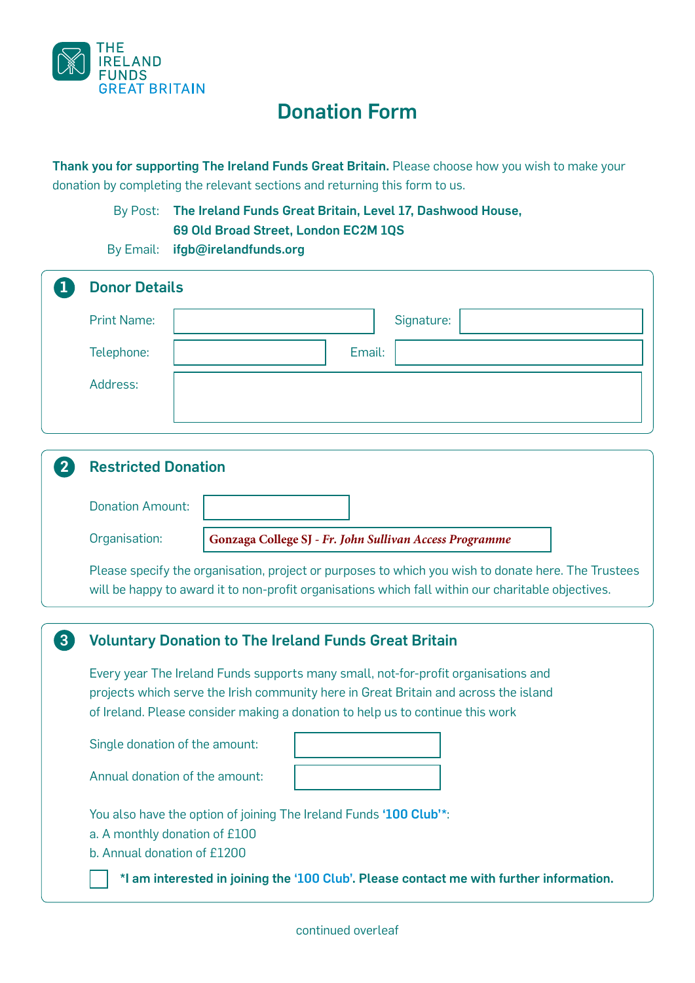

## Donation Form

Thank you for supporting The Ireland Funds Great Britain. Please choose how you wish to make your donation by completing the relevant sections and returning this form to us.

> By Post: The Ireland Funds Great Britain, Level 17, Dashwood House, 69 Old Broad Street, London EC2M 1QS

By Email: ifgb@irelandfunds.org

|                | <b>Donor Details</b>                                                                                                                                                                                      |                                                                                         |  |  |  |
|----------------|-----------------------------------------------------------------------------------------------------------------------------------------------------------------------------------------------------------|-----------------------------------------------------------------------------------------|--|--|--|
|                | <b>Print Name:</b>                                                                                                                                                                                        | Signature:                                                                              |  |  |  |
|                | Telephone:                                                                                                                                                                                                | Email:                                                                                  |  |  |  |
|                | Address:                                                                                                                                                                                                  |                                                                                         |  |  |  |
|                |                                                                                                                                                                                                           |                                                                                         |  |  |  |
|                |                                                                                                                                                                                                           |                                                                                         |  |  |  |
| 2 <sup>1</sup> | <b>Restricted Donation</b>                                                                                                                                                                                |                                                                                         |  |  |  |
|                | <b>Donation Amount:</b>                                                                                                                                                                                   |                                                                                         |  |  |  |
|                | Organisation:                                                                                                                                                                                             | Gonzaga College SJ - Fr. John Sullivan Access Programme                                 |  |  |  |
|                | Please specify the organisation, project or purposes to which you wish to donate here. The Trustees<br>will be happy to award it to non-profit organisations which fall within our charitable objectives. |                                                                                         |  |  |  |
|                |                                                                                                                                                                                                           |                                                                                         |  |  |  |
| $\overline{3}$ | <b>Voluntary Donation to The Ireland Funds Great Britain</b>                                                                                                                                              |                                                                                         |  |  |  |
|                | Every year The Ireland Funds supports many small, not-for-profit organisations and                                                                                                                        |                                                                                         |  |  |  |
|                | projects which serve the Irish community here in Great Britain and across the island<br>of Ireland. Please consider making a donation to help us to continue this work                                    |                                                                                         |  |  |  |
|                | Single donation of the amount:                                                                                                                                                                            |                                                                                         |  |  |  |
|                | Annual donation of the amount:                                                                                                                                                                            |                                                                                         |  |  |  |
|                | You also have the option of joining The Ireland Funds '100 Club'*:                                                                                                                                        |                                                                                         |  |  |  |
|                | a. A monthly donation of £100                                                                                                                                                                             |                                                                                         |  |  |  |
|                | b. Annual donation of £1200                                                                                                                                                                               |                                                                                         |  |  |  |
|                |                                                                                                                                                                                                           | *I am interested in joining the '100 Club'. Please contact me with further information. |  |  |  |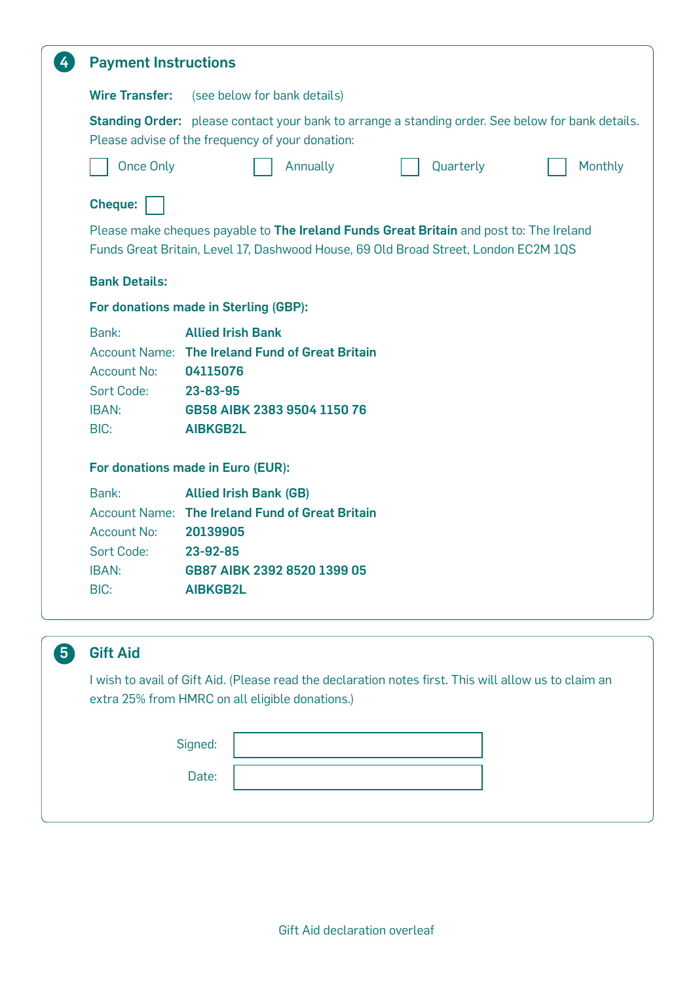| $\frac{4}{3}$                        | <b>Payment Instructions</b>                                                                                                                                                                                                     |                                                                                                                                                                                |  |           |         |  |  |  |
|--------------------------------------|---------------------------------------------------------------------------------------------------------------------------------------------------------------------------------------------------------------------------------|--------------------------------------------------------------------------------------------------------------------------------------------------------------------------------|--|-----------|---------|--|--|--|
|                                      | <b>Wire Transfer:</b>                                                                                                                                                                                                           | (see below for bank details)                                                                                                                                                   |  |           |         |  |  |  |
|                                      |                                                                                                                                                                                                                                 | Standing Order: please contact your bank to arrange a standing order. See below for bank details.<br>Please advise of the frequency of your donation:                          |  |           |         |  |  |  |
|                                      | <b>Once Only</b>                                                                                                                                                                                                                | Annually                                                                                                                                                                       |  | Quarterly | Monthly |  |  |  |
|                                      | <b>Cheque:</b>                                                                                                                                                                                                                  |                                                                                                                                                                                |  |           |         |  |  |  |
|                                      |                                                                                                                                                                                                                                 | Please make cheques payable to The Ireland Funds Great Britain and post to: The Ireland<br>Funds Great Britain, Level 17, Dashwood House, 69 Old Broad Street, London EC2M 1QS |  |           |         |  |  |  |
|                                      | <b>Bank Details:</b>                                                                                                                                                                                                            |                                                                                                                                                                                |  |           |         |  |  |  |
|                                      |                                                                                                                                                                                                                                 | For donations made in Sterling (GBP):                                                                                                                                          |  |           |         |  |  |  |
|                                      | Bank:<br><b>Account No:</b><br>Sort Code:<br><b>IBAN:</b><br>BIC:                                                                                                                                                               | <b>Allied Irish Bank</b><br>Account Name: The Ireland Fund of Great Britain<br>04115076<br>23-83-95<br>GB58 AIBK 2383 9504 1150 76<br><b>AIBKGB2L</b>                          |  |           |         |  |  |  |
|                                      | For donations made in Euro (EUR):                                                                                                                                                                                               |                                                                                                                                                                                |  |           |         |  |  |  |
|                                      | Bank:<br><b>Allied Irish Bank (GB)</b><br>Account Name: The Ireland Fund of Great Britain<br><b>Account No:</b><br>20139905<br><b>Sort Code:</b><br>23-92-85<br>GB87 AIBK 2392 8520 1399 05<br>IBAN:<br>BIC:<br><b>AIBKGB2L</b> |                                                                                                                                                                                |  |           |         |  |  |  |
|                                      |                                                                                                                                                                                                                                 |                                                                                                                                                                                |  |           |         |  |  |  |
| $\left( 5\right)$<br><b>Gift Aid</b> |                                                                                                                                                                                                                                 |                                                                                                                                                                                |  |           |         |  |  |  |
|                                      | I wish to avail of Gift Aid. (Please read the declaration notes first. This will allow us to claim an<br>extra 25% from HMRC on all eligible donations.)                                                                        |                                                                                                                                                                                |  |           |         |  |  |  |

Date: